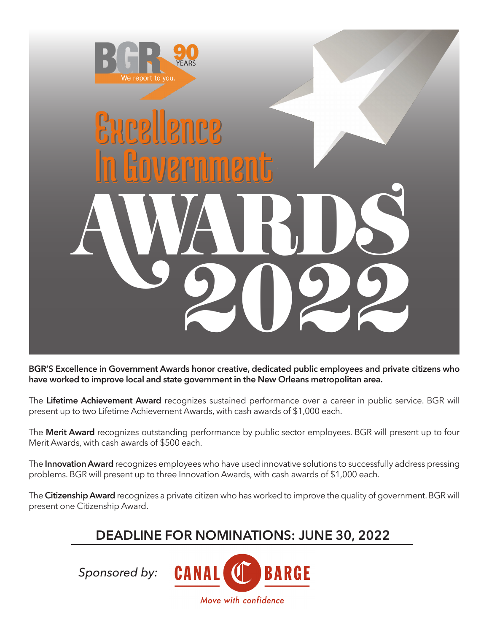

# Excellence In Government Excellence In Government AWARDS 2022

**BGR'S Excellence in Government Awards honor creative, dedicated public employees and private citizens who have worked to improve local and state government in the New Orleans metropolitan area.**

The **Lifetime Achievement Award** recognizes sustained performance over a career in public service. BGR will present up to two Lifetime Achievement Awards, with cash awards of \$1,000 each.

The **Merit Award** recognizes outstanding performance by public sector employees. BGR will present up to four Merit Awards, with cash awards of \$500 each.

The **Innovation Award** recognizes employees who have used innovative solutions to successfully address pressing problems. BGR will present up to three Innovation Awards, with cash awards of \$1,000 each.

The **Citizenship Award** recognizes a private citizen who has worked to improve the quality of government. BGR will present one Citizenship Award.

# **DEADLINE FOR NOMINATIONS: JUNE 30, 2022**

*Sponsored by:*

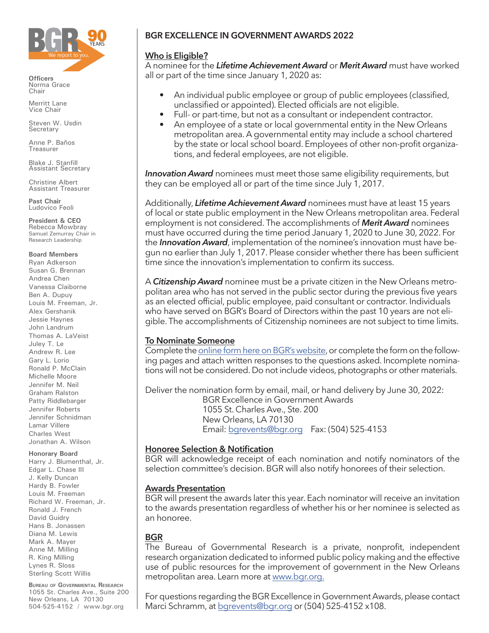

**Officers** Norma Grace Chair

Merritt Lane Vice Chair

Steven W. Usdin Secretary

Anne P. Baños Treasurer

Blake J. Stanfill Assistant Secretary

Christine Albert Assistant Treasurer

**Past Chair** Ludovico Feoli

**President & CEO** Rebecca Mowbray Samuel Zemurray Chair in Research Leadership

#### **Board Members**

Ryan Adkerson Susan G. Brennan Andrea Chen Vanessa Claiborne Ben A. Dupuy Louis M. Freeman, Jr. Alex Gershanik Jessie Haynes John Landrum Thomas A. LaVeist Juley T. Le Andrew R. Lee Gary L. Lorio Ronald P. McClain Michelle Moore Jennifer M. Neil Graham Ralston Patty Riddlebarger Jennifer Roberts Jennifer Schnidman Lamar Villere Charles West Jonathan A. Wilson

#### **Honorary Board**

Harry J. Blumenthal, Jr. Edgar L. Chase III J. Kelly Duncan Hardy B. Fowler Louis M. Freeman Richard W. Freeman, Jr. Ronald J. French David Guidry Hans B. Jonassen Diana M. Lewis Mark A. Mayer Anne M. Milling R. King Milling Lynes R. Sloss Sterling Scott Willis

**Bureau of Governmental Research** 1055 St. Charles Ave., Suite 200 New Orleans, LA 70130 504-525-4152 / www.bgr.org

# **BGR EXCELLENCE IN GOVERNMENT AWARDS 2022**

### **Who is Eligible?**

A nominee for the *Lifetime Achievement Award* or *Merit Award* must have worked all or part of the time since January 1, 2020 as:

- An individual public employee or group of public employees (classified, unclassified or appointed). Elected officials are not eligible.
- Full- or part-time, but not as a consultant or independent contractor.
- An employee of a state or local governmental entity in the New Orleans metropolitan area. A governmental entity may include a school chartered by the state or local school board. Employees of other non-profit organizations, and federal employees, are not eligible.

**Innovation Award** nominees must meet those same eligibility requirements, but they can be employed all or part of the time since July 1, 2017.

Additionally, *Lifetime Achievement Award* nominees must have at least 15 years of local or state public employment in the New Orleans metropolitan area. Federal employment is not considered. The accomplishments of *Merit Award* nominees must have occurred during the time period January 1, 2020 to June 30, 2022. For the *Innovation Award*, implementation of the nominee's innovation must have begun no earlier than July 1, 2017. Please consider whether there has been sufficient time since the innovation's implementation to confirm its success.

A *Citizenship Award* nominee must be a private citizen in the New Orleans metropolitan area who has not served in the public sector during the previous five years as an elected official, public employee, paid consultant or contractor. Individuals who have served on BGR's Board of Directors within the past 10 years are not eligible. The accomplishments of Citizenship nominees are not subject to time limits.

### **To Nominate Someone**

Complete the [online form here on BGR's website,](https://www.bgr.org/excellence-in-government-award-nominations-2022/) or complete the form on the following pages and attach written responses to the questions asked. Incomplete nominations will not be considered. Do not include videos, photographs or other materials.

Deliver the nomination form by email, mail, or hand delivery by June 30, 2022: BGR Excellence in Government Awards 1055 St. Charles Ave., Ste. 200 New Orleans, LA 70130 Email: bgrevent[s@bgr.org](mailto:bgrevents%40bgr.org?subject=) Fax: (504) 525-4153

### **Honoree Selection & Notification**

BGR will acknowledge receipt of each nomination and notify nominators of the selection committee's decision. BGR will also notify honorees of their selection.

### **Awards Presentation**

BGR will present the awards later this year. Each nominator will receive an invitation to the awards presentation regardless of whether his or her nominee is selected as an honoree.

### **BGR**

The Bureau of Governmental Research is a private, nonprofit, independent research organization dedicated to informed public policy making and the effective use of public resources for the improvement of government in the New Orleans metropolitan area. Learn more at [www.bgr.org](https://www.bgr.org).

For questions regarding the BGR Excellence in Government Awards, please contact Marci Schramm, at bgrevent[s@bgr.org](mailto:bgrevents%40bgr.org?subject=) or (504) 525-4152 x108.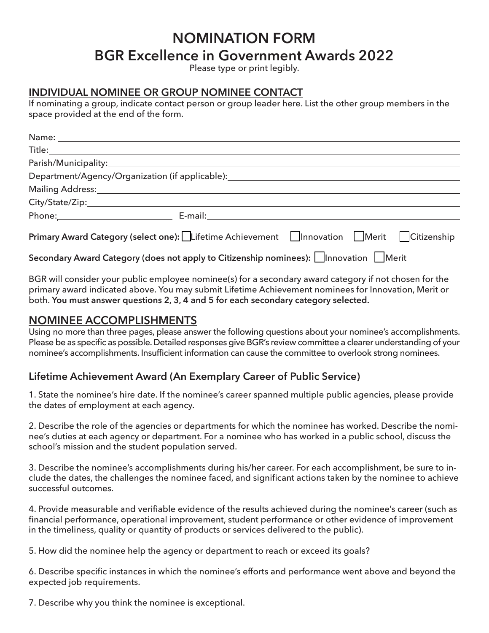# **NOMINATION FORM BGR Excellence in Government Awards 2022**

Please type or print legibly.

### **INDIVIDUAL NOMINEE OR GROUP NOMINEE CONTACT**

If nominating a group, indicate contact person or group leader here. List the other group members in the space provided at the end of the form.

| Department/Agency/Organization (if applicable): ________________________________                              |  |  |
|---------------------------------------------------------------------------------------------------------------|--|--|
|                                                                                                               |  |  |
|                                                                                                               |  |  |
| E-mail: 2008. 2009. 2010. 2010. 2010. 2010. 2010. 2010. 2011. 2012. 2012. 2014. 2016. 2017. 2017. 2017. 2017. |  |  |
| Primary Award Category (select one): Lifetime Achievement   Innovation   Merit   Citizenship                  |  |  |
|                                                                                                               |  |  |

**Secondary Award Category (does not apply to Citizenship nominees):** Innovation Interit

BGR will consider your public employee nominee(s) for a secondary award category if not chosen for the primary award indicated above. You may submit Lifetime Achievement nominees for Innovation, Merit or both. **You must answer questions 2, 3, 4 and 5 for each secondary category selected.**

# **NOMINEE ACCOMPLISHMENTS**

Using no more than three pages, please answer the following questions about your nominee's accomplishments. Please be as specific as possible. Detailed responses give BGR's review committee a clearer understanding of your nominee's accomplishments. Insufficient information can cause the committee to overlook strong nominees.

### **Lifetime Achievement Award (An Exemplary Career of Public Service)**

1. State the nominee's hire date. If the nominee's career spanned multiple public agencies, please provide the dates of employment at each agency.

2. Describe the role of the agencies or departments for which the nominee has worked. Describe the nominee's duties at each agency or department. For a nominee who has worked in a public school, discuss the school's mission and the student population served.

3. Describe the nominee's accomplishments during his/her career. For each accomplishment, be sure to include the dates, the challenges the nominee faced, and significant actions taken by the nominee to achieve successful outcomes.

4. Provide measurable and verifiable evidence of the results achieved during the nominee's career (such as financial performance, operational improvement, student performance or other evidence of improvement in the timeliness, quality or quantity of products or services delivered to the public).

5. How did the nominee help the agency or department to reach or exceed its goals?

6. Describe specific instances in which the nominee's efforts and performance went above and beyond the expected job requirements.

7. Describe why you think the nominee is exceptional.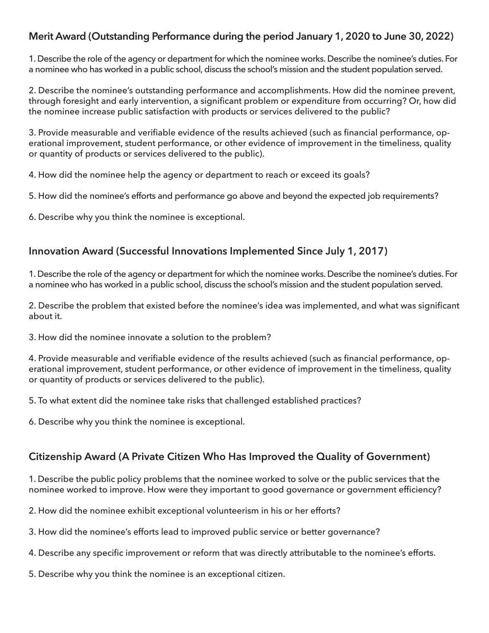# **Merit Award (Outstanding Performance during the period January 1, 2020 to June 30, 2022)**

1. Describe the role of the agency or department for which the nominee works. Describe the nominee's duties. For a nominee who has worked in a public school, discuss the school's mission and the student population served.

2. Describe the nominee's outstanding performance and accomplishments. How did the nominee prevent, through foresight and early intervention, a significant problem or expenditure from occurring? Or, how did the nominee increase public satisfaction with products or services delivered to the public?

3. Provide measurable and verifiable evidence of the results achieved (such as financial performance, operational improvement, student performance, or other evidence of improvement in the timeliness, quality or quantity of products or services delivered to the public).

4. How did the nominee help the agency or department to reach or exceed its goals?

5. How did the nominee's efforts and performance go above and beyond the expected job requirements?

6. Describe why you think the nominee is exceptional.

## **Innovation Award (Successful Innovations Implemented Since July 1, 2017)**

1. Describe the role of the agency or department for which the nominee works. Describe the nominee's duties. For a nominee who has worked in a public school, discuss the school's mission and the student population served.

2. Describe the problem that existed before the nominee's idea was implemented, and what was significant about it.

3. How did the nominee innovate a solution to the problem?

4. Provide measurable and verifiable evidence of the results achieved (such as financial performance, operational improvement, student performance, or other evidence of improvement in the timeliness, quality or quantity of products or services delivered to the public).

5. To what extent did the nominee take risks that challenged established practices?

6. Describe why you think the nominee is exceptional.

# **Citizenship Award (A Private Citizen Who Has Improved the Quality of Government)**

1. Describe the public policy problems that the nominee worked to solve or the public services that the nominee worked to improve. How were they important to good governance or government efficiency?

2. How did the nominee exhibit exceptional volunteerism in his or her efforts?

3. How did the nominee's efforts lead to improved public service or better governance?

4. Describe any specific improvement or reform that was directly attributable to the nominee's efforts.

5. Describe why you think the nominee is an exceptional citizen.